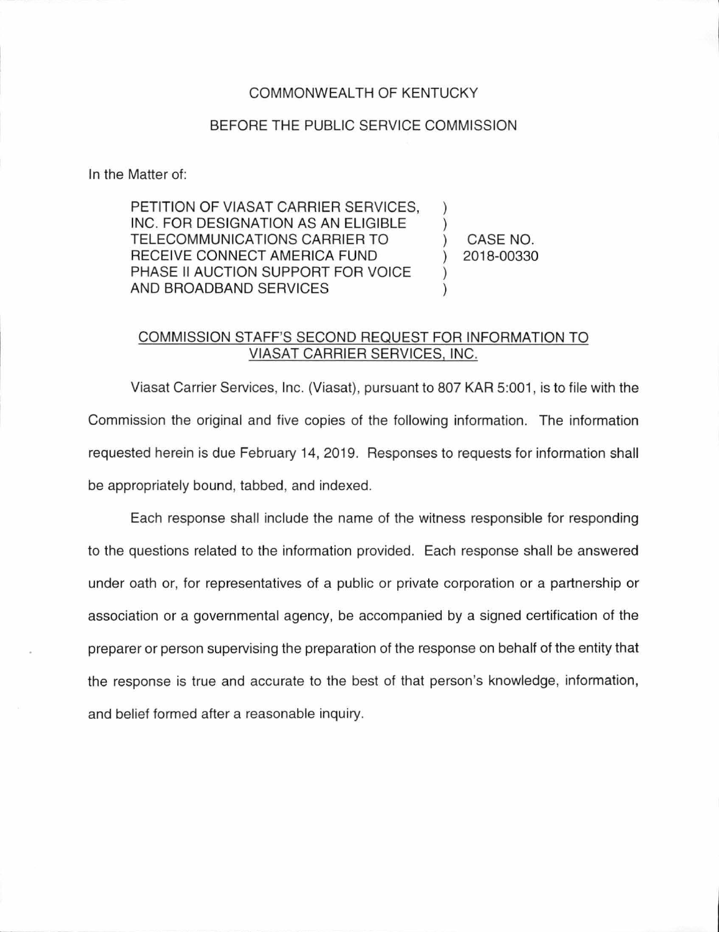## COMMONWEALTH OF KENTUCKY

## BEFORE THE PUBLIC SERVICE COMMISSION

In the Matter of:

PETITION OF VIASAT CARRIER SERVICES, INC. FOR DESIGNATION AS AN ELIGIBLE TELECOMMUNICATIONS CARRIER TO RECEIVE CONNECT AMERICA FUND PHASE II AUCTION SUPPORT FOR VOICE AND BROADBAND SERVICES

) CASE NO. ) 2018-00330

) )

) )

## COMMISSION STAFF'S SECOND REQUEST FOR INFORMATION TO VIASAT CARRIER SERVICES, INC.

Viasat Carrier Services, Inc. (Viasat), pursuant to 807 KAR 5:001 , is to file with the Commission the original and five copies of the following information. The information requested herein is due February 14, 2019. Responses to requests for information shall be appropriately bound, tabbed, and indexed.

Each response shall include the name of the witness responsible for responding to the questions related to the information provided. Each response shall be answered under oath or, for representatives of a public or private corporation or a partnership or association or a governmental agency, be accompanied by a signed certification of the preparer or person supervising the preparation of the response on behalf of the entity that the response is true and accurate to the best of that person's knowledge, information, and belief formed after a reasonable inquiry.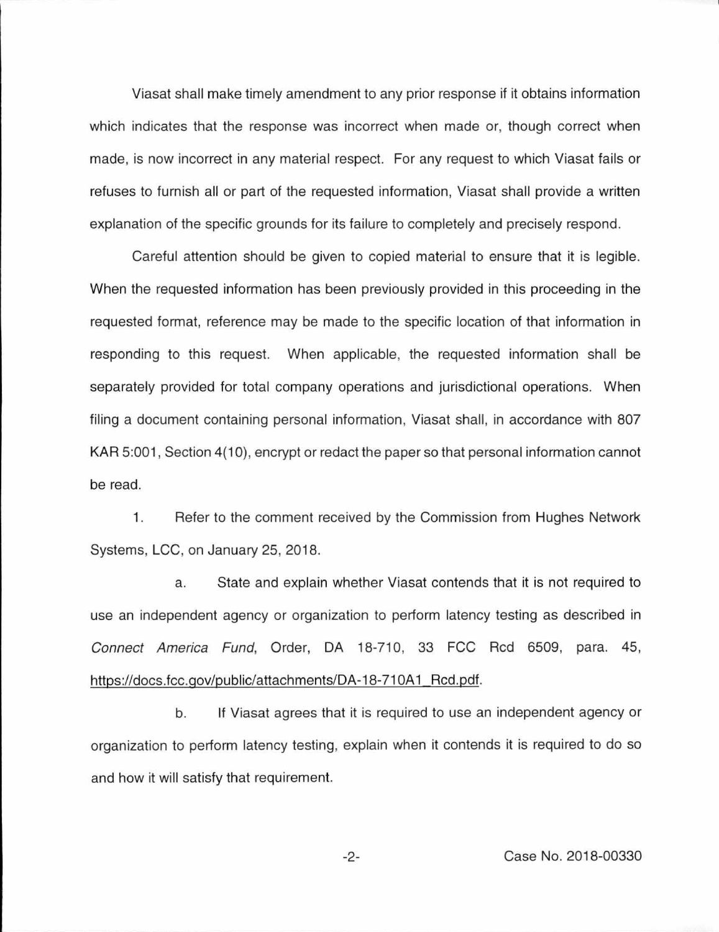Viasat shall make timely amendment to any prior response if it obtains information which indicates that the response was incorrect when made or, though correct when made, is now incorrect in any material respect. For any request to which Viasat fails or refuses to furnish all or part of the requested information, Viasat shall provide a written explanation of the specific grounds for its failure to completely and precisely respond.

Careful attention should be given to copied material to ensure that it is legible. When the requested information has been previously provided in this proceeding in the requested format, reference may be made to the specific location of that information in responding to this request. When applicable, the requested information shall be separately provided for total company operations and jurisdictional operations. When filing a document containing personal information, Viasat shall, in accordance with 807 KAR 5:001, Section 4(10), encrypt or redact the paper so that personal information cannot be read.

1. Refer to the comment received by the Commission from Hughes Network Systems, LCC, on January 25, 2018.

a. State and explain whether Viasat contends that it is not required to use an independent agency or organization to perform latency testing as described in Connect America Fund, Order, DA 18-710, 33 FCC Red 6509, para. 45, https://docs.fcc.gov/public/attachments/DA-18-710A1\_Rcd.pdf.

b. If Viasat agrees that it is required to use an independent agency or organization to perform latency testing, explain when it contends it is required to do so and how it will satisfy that requirement.

-2- Case No. 2018-00330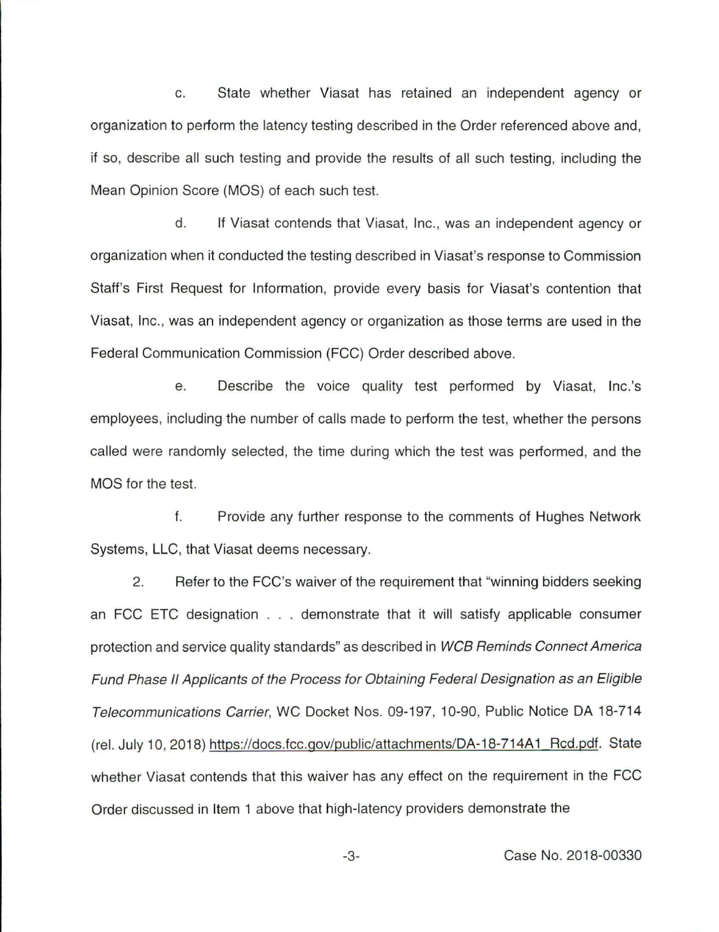c. State whether Viasat has retained an independent agency or organization to perform the latency testing described in the Order referenced above and, if so, describe all such testing and provide the results of all such testing, including the Mean Opinion Score (MOS) of each such test.

d. If Viasat contends that Viasat, Inc., was an independent agency or organization when it conducted the testing described in Viasat's response to Commission Staff's First Request for Information, provide every basis for Viasat's contention that Viasat, Inc., was an independent agency or organization as those terms are used in the Federal Communication Commission (FCC) Order described above.

e. Describe the voice quality test performed by Viasat, Inc.'s employees, including the number of calls made to perform the test, whether the persons called were randomly selected, the time during which the test was performed, and the MOS for the test.

f. Provide any further response to the comments of Hughes Network Systems, LLC, that Viasat deems necessary.

2. Refer to the FCC's waiver of the requirement that "winning bidders seeking an FCC ETC designation . . . demonstrate that it will satisfy applicable consumer protection and service quality standards" as described in WCB Reminds Connect America Fund Phase II Applicants of the Process for Obtaining Federal Designation as an Eligible Telecommunications Carrier, WC Docket Nos. 09-197, 10-90, Public Notice DA 18-714 (rel. July 10, 2018) https://docs.fcc.gov/public/attachments/DA-18-714A1\_Rcd.pdf. State whether Viasat contends that this waiver has any effect on the requirement in the FCC Order discussed in Item 1 above that high-latency providers demonstrate the

-3- Case No. 2018-00330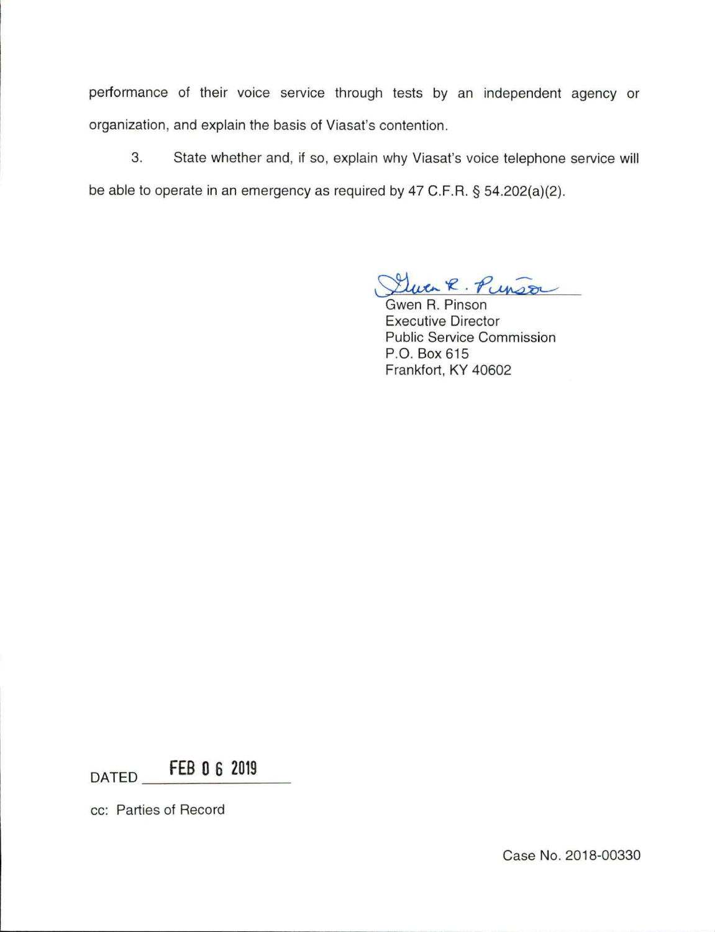performance of their voice service through tests by an independent agency or organization, and explain the basis of Viasat's contention.

3. State whether and, if so, explain why Viasat's voice telephone service will be able to operate in an emergency as required by 47 C.F.R. § 54.202(a)(2).

 $x R. P_{\text{unstr}}$ 

Gwen R. Pinson Executive Director Public Service Commission P.O. Box 615 Frankfort, KY 40602

DATED **FEB 0 6 2019** 

cc: Parties of Record